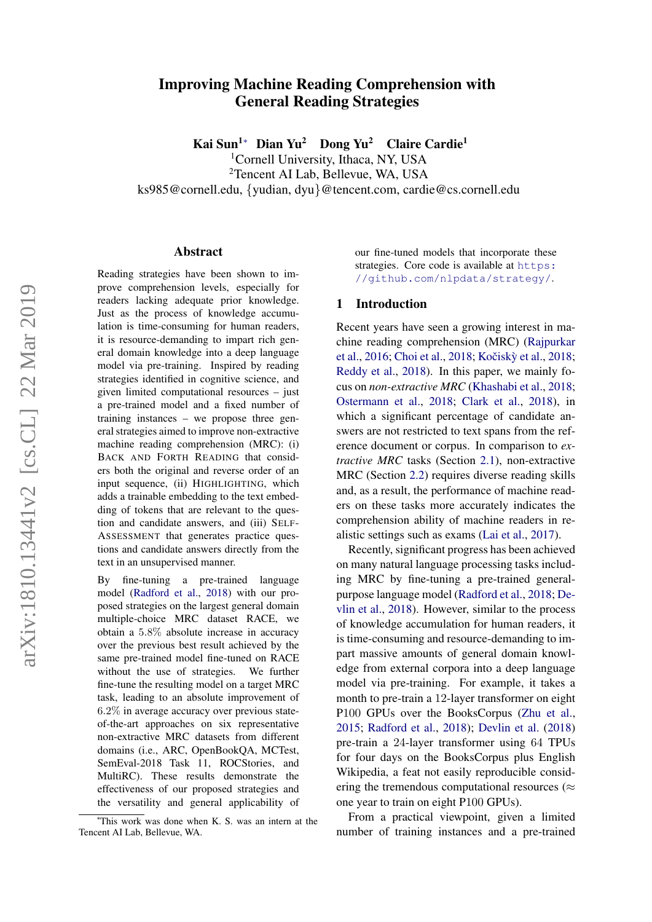# arXiv:1810.13441v2 [cs.CL] 22 Mar 2019 arXiv:1810.13441v2 [cs.CL] 22 Mar 2019

# Improving Machine Reading Comprehension with General Reading Strategies

Kai Sun<sup>1</sup><sup>∗</sup> Dian Yu<sup>2</sup> Dong Yu<sup>2</sup> Claire Cardie<sup>1</sup>

<sup>1</sup>Cornell University, Ithaca, NY, USA

<sup>2</sup>Tencent AI Lab, Bellevue, WA, USA

ks985@cornell.edu, {yudian, dyu}@tencent.com, cardie@cs.cornell.edu

### Abstract

Reading strategies have been shown to improve comprehension levels, especially for readers lacking adequate prior knowledge. Just as the process of knowledge accumulation is time-consuming for human readers, it is resource-demanding to impart rich general domain knowledge into a deep language model via pre-training. Inspired by reading strategies identified in cognitive science, and given limited computational resources – just a pre-trained model and a fixed number of training instances – we propose three general strategies aimed to improve non-extractive machine reading comprehension (MRC): (i) BACK AND FORTH READING that considers both the original and reverse order of an input sequence, (ii) HIGHLIGHTING, which adds a trainable embedding to the text embedding of tokens that are relevant to the question and candidate answers, and (iii) SELF-ASSESSMENT that generates practice questions and candidate answers directly from the text in an unsupervised manner.

By fine-tuning a pre-trained language model [\(Radford et al.,](#page-9-0) [2018\)](#page-9-0) with our proposed strategies on the largest general domain multiple-choice MRC dataset RACE, we obtain a 5.8% absolute increase in accuracy over the previous best result achieved by the same pre-trained model fine-tuned on RACE without the use of strategies. We further fine-tune the resulting model on a target MRC task, leading to an absolute improvement of 6.2% in average accuracy over previous stateof-the-art approaches on six representative non-extractive MRC datasets from different domains (i.e., ARC, OpenBookQA, MCTest, SemEval-2018 Task 11, ROCStories, and MultiRC). These results demonstrate the effectiveness of our proposed strategies and the versatility and general applicability of our fine-tuned models that incorporate these strategies. Core code is available at [https:](https://github.com/nlpdata/strategy/) [//github.com/nlpdata/strategy/](https://github.com/nlpdata/strategy/).

### 1 Introduction

Recent years have seen a growing interest in machine reading comprehension (MRC) [\(Rajpurkar](#page-9-1) [et al.,](#page-9-1) [2016;](#page-9-1) [Choi et al.,](#page-8-0) [2018;](#page-8-1) Kočiskỳ et al., 2018; [Reddy et al.,](#page-9-2) [2018\)](#page-9-2). In this paper, we mainly focus on *non-extractive MRC* [\(Khashabi et al.,](#page-8-2) [2018;](#page-8-2) [Ostermann et al.,](#page-9-3) [2018;](#page-9-3) [Clark et al.,](#page-8-3) [2018\)](#page-8-3), in which a significant percentage of candidate answers are not restricted to text spans from the reference document or corpus. In comparison to *extractive MRC* tasks (Section [2.1\)](#page-1-0), non-extractive MRC (Section [2.2\)](#page-1-1) requires diverse reading skills and, as a result, the performance of machine readers on these tasks more accurately indicates the comprehension ability of machine readers in realistic settings such as exams [\(Lai et al.,](#page-8-4) [2017\)](#page-8-4).

Recently, significant progress has been achieved on many natural language processing tasks including MRC by fine-tuning a pre-trained generalpurpose language model [\(Radford et al.,](#page-9-0) [2018;](#page-9-0) [De](#page-8-5)[vlin et al.,](#page-8-5) [2018\)](#page-8-5). However, similar to the process of knowledge accumulation for human readers, it is time-consuming and resource-demanding to impart massive amounts of general domain knowledge from external corpora into a deep language model via pre-training. For example, it takes a month to pre-train a 12-layer transformer on eight P100 GPUs over the BooksCorpus [\(Zhu et al.,](#page-10-0) [2015;](#page-10-0) [Radford et al.,](#page-9-0) [2018\)](#page-9-0); [Devlin et al.](#page-8-5) [\(2018\)](#page-8-5) pre-train a 24-layer transformer using 64 TPUs for four days on the BooksCorpus plus English Wikipedia, a feat not easily reproducible considering the tremendous computational resources ( $\approx$ one year to train on eight P100 GPUs).

From a practical viewpoint, given a limited number of training instances and a pre-trained

<sup>∗</sup>This work was done when K. S. was an intern at the Tencent AI Lab, Bellevue, WA.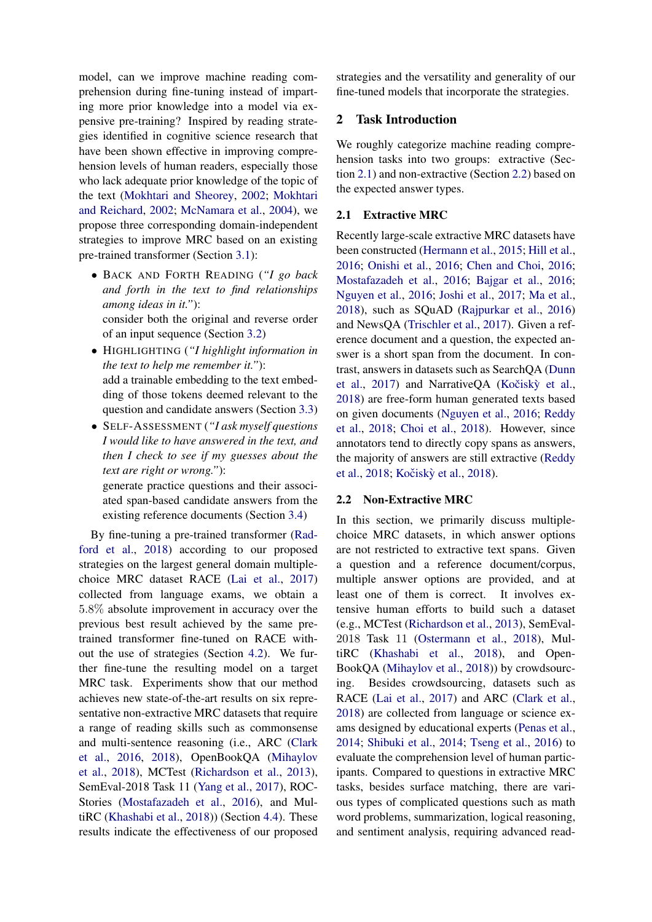model, can we improve machine reading comprehension during fine-tuning instead of imparting more prior knowledge into a model via expensive pre-training? Inspired by reading strategies identified in cognitive science research that have been shown effective in improving comprehension levels of human readers, especially those who lack adequate prior knowledge of the topic of the text [\(Mokhtari and Sheorey,](#page-9-4) [2002;](#page-9-4) [Mokhtari](#page-9-5) [and Reichard,](#page-9-5) [2002;](#page-9-5) [McNamara et al.,](#page-9-6) [2004\)](#page-9-6), we propose three corresponding domain-independent strategies to improve MRC based on an existing pre-trained transformer (Section [3.1\)](#page-2-0):

- BACK AND FORTH READING (*"I go back and forth in the text to find relationships among ideas in it."*): consider both the original and reverse order of an input sequence (Section [3.2\)](#page-2-1)
- HIGHLIGHTING (*"I highlight information in the text to help me remember it."*): add a trainable embedding to the text embedding of those tokens deemed relevant to the question and candidate answers (Section [3.3\)](#page-3-0)
- SELF-ASSESSMENT (*"I ask myself questions I would like to have answered in the text, and then I check to see if my guesses about the text are right or wrong."*):

generate practice questions and their associated span-based candidate answers from the existing reference documents (Section [3.4\)](#page-3-1)

By fine-tuning a pre-trained transformer [\(Rad](#page-9-0)[ford et al.,](#page-9-0) [2018\)](#page-9-0) according to our proposed strategies on the largest general domain multiplechoice MRC dataset RACE [\(Lai et al.,](#page-8-4) [2017\)](#page-8-4) collected from language exams, we obtain a 5.8% absolute improvement in accuracy over the previous best result achieved by the same pretrained transformer fine-tuned on RACE without the use of strategies (Section [4.2\)](#page-4-0). We further fine-tune the resulting model on a target MRC task. Experiments show that our method achieves new state-of-the-art results on six representative non-extractive MRC datasets that require a range of reading skills such as commonsense and multi-sentence reasoning (i.e., ARC [\(Clark](#page-8-6) [et al.,](#page-8-6) [2016,](#page-8-6) [2018\)](#page-8-3), OpenBookQA [\(Mihaylov](#page-9-7) [et al.,](#page-9-7) [2018\)](#page-9-7), MCTest [\(Richardson et al.,](#page-9-8) [2013\)](#page-9-8), SemEval-2018 Task 11 [\(Yang et al.,](#page-10-1) [2017\)](#page-10-1), ROC-Stories [\(Mostafazadeh et al.,](#page-9-9) [2016\)](#page-9-9), and MultiRC [\(Khashabi et al.,](#page-8-2) [2018\)](#page-8-2)) (Section [4.4\)](#page-6-0). These results indicate the effectiveness of our proposed strategies and the versatility and generality of our fine-tuned models that incorporate the strategies.

# 2 Task Introduction

We roughly categorize machine reading comprehension tasks into two groups: extractive (Section [2.1\)](#page-1-0) and non-extractive (Section [2.2\)](#page-1-1) based on the expected answer types.

### <span id="page-1-0"></span>2.1 Extractive MRC

Recently large-scale extractive MRC datasets have been constructed [\(Hermann et al.,](#page-8-7) [2015;](#page-8-7) [Hill et al.,](#page-8-8) [2016;](#page-8-8) [Onishi et al.,](#page-9-10) [2016;](#page-9-10) [Chen and Choi,](#page-8-9) [2016;](#page-8-9) [Mostafazadeh et al.,](#page-9-9) [2016;](#page-9-9) [Bajgar et al.,](#page-8-10) [2016;](#page-8-10) [Nguyen et al.,](#page-9-11) [2016;](#page-9-11) [Joshi et al.,](#page-8-11) [2017;](#page-8-11) [Ma et al.,](#page-9-12) [2018\)](#page-9-12), such as SQuAD [\(Rajpurkar et al.,](#page-9-1) [2016\)](#page-9-1) and NewsQA [\(Trischler et al.,](#page-10-2) [2017\)](#page-10-2). Given a reference document and a question, the expected answer is a short span from the document. In contrast, answers in datasets such as SearchQA [\(Dunn](#page-8-12) [et al.,](#page-8-12) [2017\)](#page-8-12) and NarrativeQA (Kočiskỳ et al., [2018\)](#page-8-1) are free-form human generated texts based on given documents [\(Nguyen et al.,](#page-9-11) [2016;](#page-9-11) [Reddy](#page-9-2) [et al.,](#page-9-2) [2018;](#page-9-2) [Choi et al.,](#page-8-0) [2018\)](#page-8-0). However, since annotators tend to directly copy spans as answers, the majority of answers are still extractive [\(Reddy](#page-9-2) [et al.,](#page-9-2) [2018;](#page-9-2) Kočiskỳ et al., [2018\)](#page-8-1).

### <span id="page-1-1"></span>2.2 Non-Extractive MRC

In this section, we primarily discuss multiplechoice MRC datasets, in which answer options are not restricted to extractive text spans. Given a question and a reference document/corpus, multiple answer options are provided, and at least one of them is correct. It involves extensive human efforts to build such a dataset (e.g., MCTest [\(Richardson et al.,](#page-9-8) [2013\)](#page-9-8), SemEval-2018 Task 11 [\(Ostermann et al.,](#page-9-3) [2018\)](#page-9-3), MultiRC [\(Khashabi et al.,](#page-8-2) [2018\)](#page-8-2), and Open-BookQA [\(Mihaylov et al.,](#page-9-7) [2018\)](#page-9-7)) by crowdsourcing. Besides crowdsourcing, datasets such as RACE [\(Lai et al.,](#page-8-4) [2017\)](#page-8-4) and ARC [\(Clark et al.,](#page-8-3) [2018\)](#page-8-3) are collected from language or science exams designed by educational experts [\(Penas et al.,](#page-9-13) [2014;](#page-9-13) [Shibuki et al.,](#page-9-14) [2014;](#page-9-14) [Tseng et al.,](#page-10-3) [2016\)](#page-10-3) to evaluate the comprehension level of human participants. Compared to questions in extractive MRC tasks, besides surface matching, there are various types of complicated questions such as math word problems, summarization, logical reasoning, and sentiment analysis, requiring advanced read-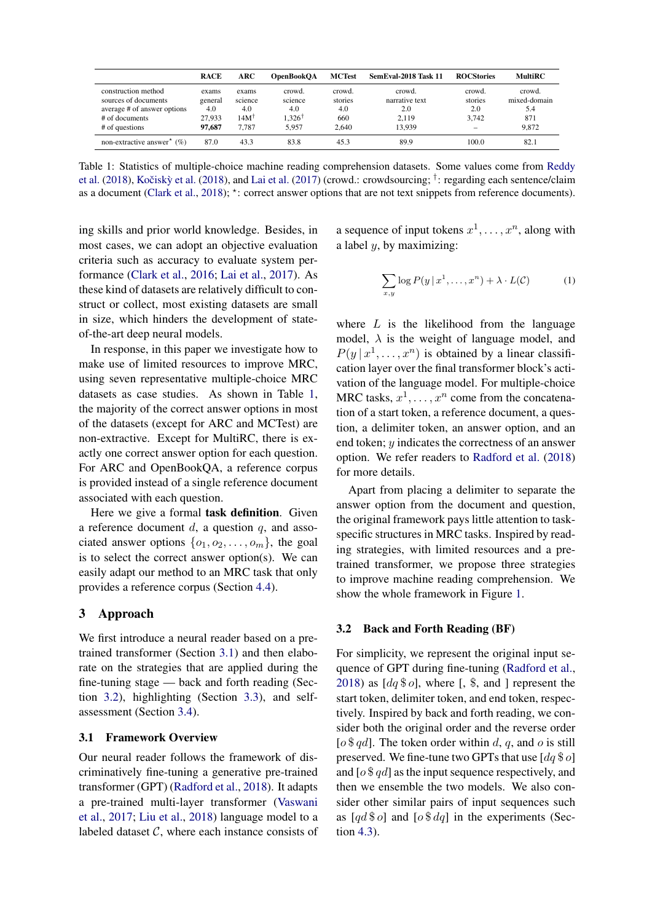<span id="page-2-2"></span>

|                                                                                                                | <b>RACE</b>                                 | ARC                                                  | <b>OpenBookOA</b>                         | <b>MCTest</b>                            | SemEval-2018 Task 11                               | <b>ROCStories</b>                 | <b>MultiRC</b>                                |
|----------------------------------------------------------------------------------------------------------------|---------------------------------------------|------------------------------------------------------|-------------------------------------------|------------------------------------------|----------------------------------------------------|-----------------------------------|-----------------------------------------------|
| construction method<br>sources of documents<br>average # of answer options<br># of documents<br># of questions | exams<br>general<br>4.0<br>27.933<br>97.687 | exams<br>science<br>4.0<br>14M <sup>†</sup><br>7.787 | crowd.<br>science<br>4.0<br>326†<br>5.957 | crowd.<br>stories<br>4.0<br>660<br>2.640 | crowd.<br>narrative text<br>2.0<br>2.119<br>13.939 | crowd.<br>stories<br>2.0<br>3.742 | crowd.<br>mixed-domain<br>5.4<br>871<br>9.872 |
| non-extractive answer <sup>*</sup> $(\%)$                                                                      | 87.0                                        | 43.3                                                 | 83.8                                      | 45.3                                     | 89.9                                               | 100.0                             | 82.1                                          |

Table 1: Statistics of multiple-choice machine reading comprehension datasets. Some values come from [Reddy](#page-9-2) [et al.](#page-9-2) [\(2018\)](#page-8-1), Kočiskỳ et al. (2018), and [Lai et al.](#page-8-4) [\(2017\)](#page-8-4) (crowd.: crowdsourcing; <sup>†</sup>: regarding each sentence/claim as a document [\(Clark et al.,](#page-8-3) [2018\)](#page-8-3); \*: correct answer options that are not text snippets from reference documents).

ing skills and prior world knowledge. Besides, in most cases, we can adopt an objective evaluation criteria such as accuracy to evaluate system performance [\(Clark et al.,](#page-8-6) [2016;](#page-8-6) [Lai et al.,](#page-8-4) [2017\)](#page-8-4). As these kind of datasets are relatively difficult to construct or collect, most existing datasets are small in size, which hinders the development of stateof-the-art deep neural models.

In response, in this paper we investigate how to make use of limited resources to improve MRC, using seven representative multiple-choice MRC datasets as case studies. As shown in Table [1,](#page-2-2) the majority of the correct answer options in most of the datasets (except for ARC and MCTest) are non-extractive. Except for MultiRC, there is exactly one correct answer option for each question. For ARC and OpenBookQA, a reference corpus is provided instead of a single reference document associated with each question.

Here we give a formal **task definition**. Given a reference document  $d$ , a question  $q$ , and associated answer options  $\{o_1, o_2, \ldots, o_m\}$ , the goal is to select the correct answer option(s). We can easily adapt our method to an MRC task that only provides a reference corpus (Section [4.4\)](#page-6-0).

# <span id="page-2-3"></span>3 Approach

We first introduce a neural reader based on a pretrained transformer (Section [3.1\)](#page-2-0) and then elaborate on the strategies that are applied during the fine-tuning stage — back and forth reading (Section [3.2\)](#page-2-1), highlighting (Section [3.3\)](#page-3-0), and selfassessment (Section [3.4\)](#page-3-1).

### <span id="page-2-0"></span>3.1 Framework Overview

Our neural reader follows the framework of discriminatively fine-tuning a generative pre-trained transformer (GPT) [\(Radford et al.,](#page-9-0) [2018\)](#page-9-0). It adapts a pre-trained multi-layer transformer [\(Vaswani](#page-10-4) [et al.,](#page-10-4) [2017;](#page-10-4) [Liu et al.,](#page-9-15) [2018\)](#page-9-15) language model to a labeled dataset  $C$ , where each instance consists of

a sequence of input tokens  $x^1, \ldots, x^n$ , along with a label  $y$ , by maximizing:

$$
\sum_{x,y} \log P(y \mid x^1, \dots, x^n) + \lambda \cdot L(C) \tag{1}
$$

where  $L$  is the likelihood from the language model,  $\lambda$  is the weight of language model, and  $P(y | x^1, \ldots, x^n)$  is obtained by a linear classification layer over the final transformer block's activation of the language model. For multiple-choice MRC tasks,  $x^1, \ldots, x^n$  come from the concatenation of a start token, a reference document, a question, a delimiter token, an answer option, and an end token; y indicates the correctness of an answer option. We refer readers to [Radford et al.](#page-9-0) [\(2018\)](#page-9-0) for more details.

Apart from placing a delimiter to separate the answer option from the document and question, the original framework pays little attention to taskspecific structures in MRC tasks. Inspired by reading strategies, with limited resources and a pretrained transformer, we propose three strategies to improve machine reading comprehension. We show the whole framework in Figure [1.](#page-3-2)

### <span id="page-2-1"></span>3.2 Back and Forth Reading (BF)

For simplicity, we represent the original input sequence of GPT during fine-tuning [\(Radford et al.,](#page-9-0) [2018\)](#page-9-0) as  $[dq\$ 0], where [, \, \, and ] represent the start token, delimiter token, and end token, respectively. Inspired by back and forth reading, we consider both the original order and the reverse order [ $\alpha$  \$  $q$ d]. The token order within d, q, and  $\alpha$  is still preserved. We fine-tune two GPTs that use  $[dq\$   $o]$ and  $\lceil \theta \, \$ \, qd \rceil$  as the input sequence respectively, and then we ensemble the two models. We also consider other similar pairs of input sequences such as  $\left[ q d \, \$o \right]$  and  $\left[ o \, \$\, dq \right]$  in the experiments (Section [4.3\)](#page-5-0).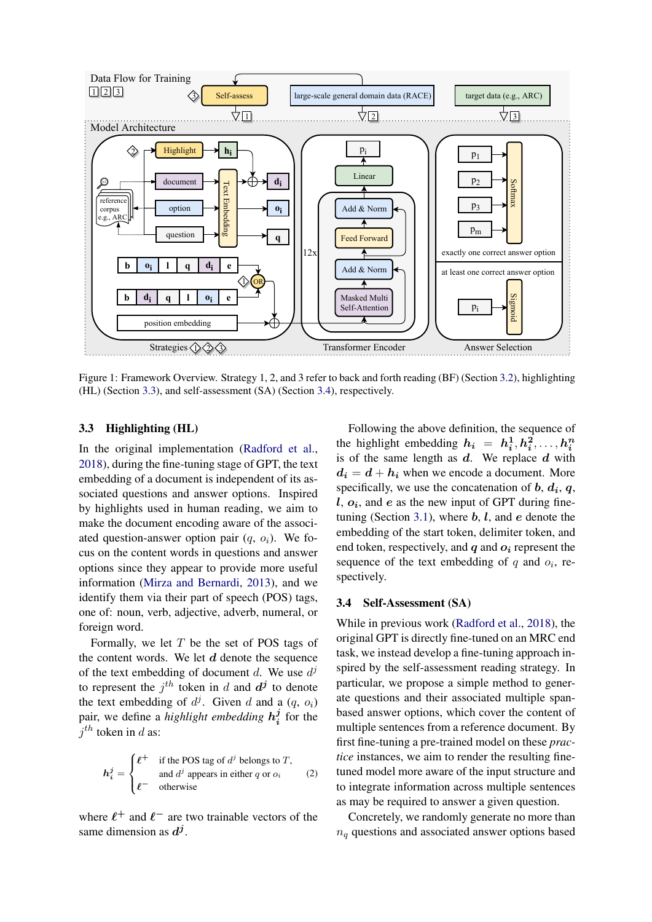<span id="page-3-2"></span>

Figure 1: Framework Overview. Strategy 1, 2, and 3 refer to back and forth reading (BF) (Section [3.2\)](#page-2-1), highlighting (HL) (Section [3.3\)](#page-3-0), and self-assessment (SA) (Section [3.4\)](#page-3-1), respectively.

### <span id="page-3-0"></span>3.3 Highlighting (HL)

In the original implementation [\(Radford et al.,](#page-9-0) [2018\)](#page-9-0), during the fine-tuning stage of GPT, the text embedding of a document is independent of its associated questions and answer options. Inspired by highlights used in human reading, we aim to make the document encoding aware of the associated question-answer option pair  $(q, o_i)$ . We focus on the content words in questions and answer options since they appear to provide more useful information [\(Mirza and Bernardi,](#page-9-16) [2013\)](#page-9-16), and we identify them via their part of speech (POS) tags, one of: noun, verb, adjective, adverb, numeral, or foreign word.

Formally, we let  $T$  be the set of POS tags of the content words. We let  $d$  denote the sequence of the text embedding of document d. We use  $d^j$ to represent the  $j^{th}$  token in d and  $d^{j}$  to denote the text embedding of  $d^j$ . Given d and a  $(q, o_i)$ pair, we define a *highlight embedding* h j  $\frac{J}{i}$  for the  $j$ <sup>th</sup> token in d as:

<span id="page-3-3"></span>
$$
h_i^j = \begin{cases} \ell^+ & \text{if the POS tag of } d^j \text{ belongs to } T, \\ \ell^- & \text{and } d^j \text{ appears in either } q \text{ or } o_i \end{cases}
$$
 (2)

where  $\ell^+$  and  $\ell^-$  are two trainable vectors of the same dimension as  $d^j$ .

Following the above definition, the sequence of the highlight embedding  $h_i = h_i^1, h_i^2, \ldots, h_i^n$ is of the same length as  $d$ . We replace  $d$  with  $d_i = d + h_i$  when we encode a document. More specifically, we use the concatenation of  $b, d_i, q$ ,  $l, o_i$ , and  $e$  as the new input of GPT during fine-tuning (Section [3.1\)](#page-2-0), where  $b, l$ , and  $e$  denote the embedding of the start token, delimiter token, and end token, respectively, and  $q$  and  $q_i$  represent the sequence of the text embedding of  $q$  and  $o_i$ , respectively.

### <span id="page-3-1"></span>3.4 Self-Assessment (SA)

While in previous work [\(Radford et al.,](#page-9-0) [2018\)](#page-9-0), the original GPT is directly fine-tuned on an MRC end task, we instead develop a fine-tuning approach inspired by the self-assessment reading strategy. In particular, we propose a simple method to generate questions and their associated multiple spanbased answer options, which cover the content of multiple sentences from a reference document. By first fine-tuning a pre-trained model on these *practice* instances, we aim to render the resulting finetuned model more aware of the input structure and to integrate information across multiple sentences as may be required to answer a given question.

Concretely, we randomly generate no more than  $n_q$  questions and associated answer options based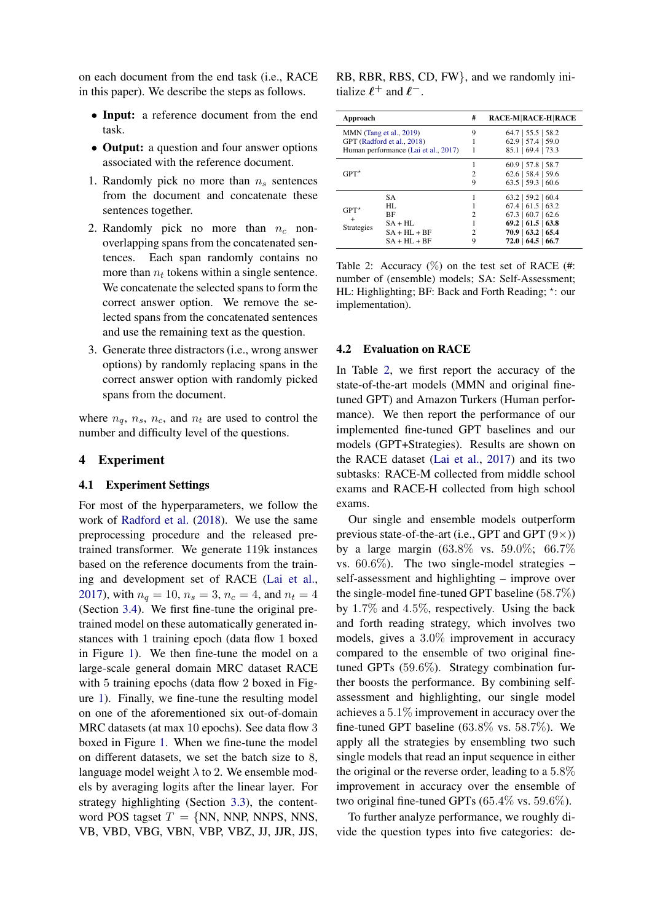on each document from the end task (i.e., RACE in this paper). We describe the steps as follows.

- Input: a reference document from the end task.
- **Output:** a question and four answer options associated with the reference document.
- 1. Randomly pick no more than  $n<sub>s</sub>$  sentences from the document and concatenate these sentences together.
- 2. Randomly pick no more than  $n_c$  nonoverlapping spans from the concatenated sentences. Each span randomly contains no more than  $n_t$  tokens within a single sentence. We concatenate the selected spans to form the correct answer option. We remove the selected spans from the concatenated sentences and use the remaining text as the question.
- 3. Generate three distractors (i.e., wrong answer options) by randomly replacing spans in the correct answer option with randomly picked spans from the document.

where  $n_q$ ,  $n_s$ ,  $n_c$ , and  $n_t$  are used to control the number and difficulty level of the questions.

### 4 Experiment

### 4.1 Experiment Settings

For most of the hyperparameters, we follow the work of [Radford et al.](#page-9-0) [\(2018\)](#page-9-0). We use the same preprocessing procedure and the released pretrained transformer. We generate 119k instances based on the reference documents from the training and development set of RACE [\(Lai et al.,](#page-8-4) [2017\)](#page-8-4), with  $n_q = 10$ ,  $n_s = 3$ ,  $n_c = 4$ , and  $n_t = 4$ (Section [3.4\)](#page-3-1). We first fine-tune the original pretrained model on these automatically generated instances with 1 training epoch (data flow 1 boxed in Figure [1\)](#page-3-2). We then fine-tune the model on a large-scale general domain MRC dataset RACE with 5 training epochs (data flow 2 boxed in Figure [1\)](#page-3-2). Finally, we fine-tune the resulting model on one of the aforementioned six out-of-domain MRC datasets (at max 10 epochs). See data flow 3 boxed in Figure [1.](#page-3-2) When we fine-tune the model on different datasets, we set the batch size to 8, language model weight  $\lambda$  to 2. We ensemble models by averaging logits after the linear layer. For strategy highlighting (Section [3.3\)](#page-3-0), the contentword POS tagset  $T = \{NN, NNP, NNPS, NNS,$ VB, VBD, VBG, VBN, VBP, VBZ, JJ, JJR, JJS,

| RB, RBR, RBS, CD, FW}, and we randomly ini- |  |  |
|---------------------------------------------|--|--|
| tialize $\ell^+$ and $\ell^-$ .             |  |  |

<span id="page-4-1"></span>

| Approach                                     |                                                                                               | #                        | <b>RACE-M RACE-H RACE</b>                                                                                                                                      |
|----------------------------------------------|-----------------------------------------------------------------------------------------------|--------------------------|----------------------------------------------------------------------------------------------------------------------------------------------------------------|
|                                              | MMN (Tang et al., 2019)<br>GPT (Radford et al., 2018)<br>Human performance (Lai et al., 2017) | 9                        | $64.7$   55.5   58.2<br>$62.9$   57.4   59.0<br>85.1   69.4   73.3                                                                                             |
| $GPT^*$                                      |                                                                                               | 2<br>9                   | $60.9$   57.8   58.7<br>$62.6$   58.4   59.6<br>$63.5$   59.3   60.6                                                                                           |
| $GPT^{\star}$<br>$^{+}$<br><b>Strategies</b> | SА<br>HI.<br>BF<br>$SA + HI$ .<br>$SA + HI + BF$<br>$SA + HI + BF$                            | 2<br>$\mathfrak{D}$<br>9 | $63.2$   59.2   60.4<br>$67.4$   61.5   63.2<br>$67.3$   60.7   62.6<br>$69.2 \mid 61.5 \mid 63.8$<br>$70.9 \mid 63.2 \mid 65.4$<br>$72.0 \mid 64.5 \mid 66.7$ |

Table 2: Accuracy  $(\%)$  on the test set of RACE (#: number of (ensemble) models; SA: Self-Assessment; HL: Highlighting; BF: Back and Forth Reading; \*: our implementation).

### <span id="page-4-0"></span>4.2 Evaluation on RACE

In Table [2,](#page-4-1) we first report the accuracy of the state-of-the-art models (MMN and original finetuned GPT) and Amazon Turkers (Human performance). We then report the performance of our implemented fine-tuned GPT baselines and our models (GPT+Strategies). Results are shown on the RACE dataset [\(Lai et al.,](#page-8-4) [2017\)](#page-8-4) and its two subtasks: RACE-M collected from middle school exams and RACE-H collected from high school exams.

Our single and ensemble models outperform previous state-of-the-art (i.e., GPT and GPT  $(9\times)$ ) by a large margin (63.8% vs. 59.0%; 66.7% vs.  $60.6\%$ ). The two single-model strategies – self-assessment and highlighting – improve over the single-model fine-tuned GPT baseline (58.7%) by 1.7% and 4.5%, respectively. Using the back and forth reading strategy, which involves two models, gives a 3.0% improvement in accuracy compared to the ensemble of two original finetuned GPTs (59.6%). Strategy combination further boosts the performance. By combining selfassessment and highlighting, our single model achieves a 5.1% improvement in accuracy over the fine-tuned GPT baseline  $(63.8\% \text{ vs. } 58.7\%).$  We apply all the strategies by ensembling two such single models that read an input sequence in either the original or the reverse order, leading to a 5.8% improvement in accuracy over the ensemble of two original fine-tuned GPTs (65.4% vs. 59.6%).

To further analyze performance, we roughly divide the question types into five categories: de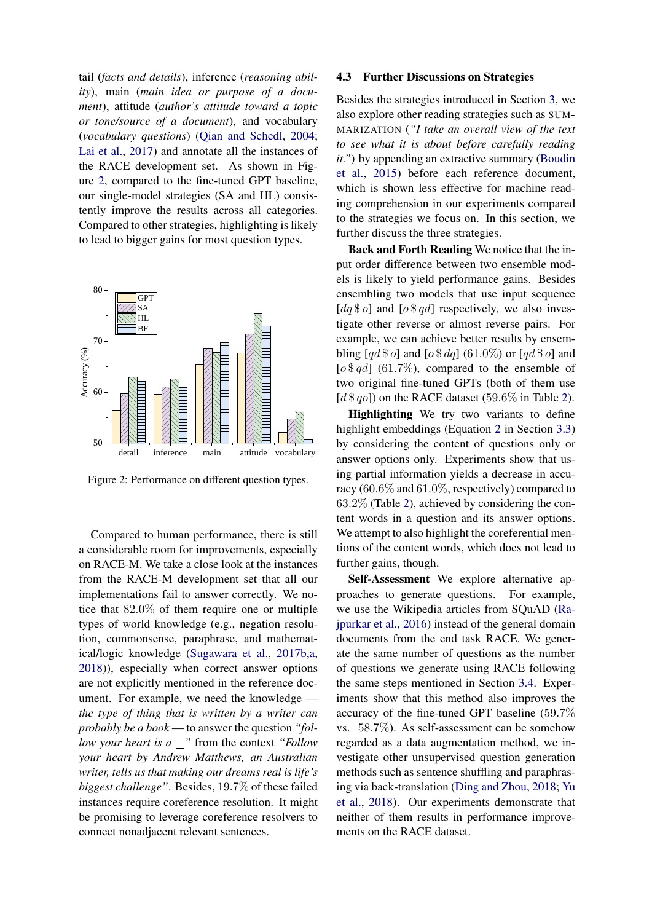tail (*facts and details*), inference (*reasoning ability*), main (*main idea or purpose of a document*), attitude (*author's attitude toward a topic or tone/source of a document*), and vocabulary (*vocabulary questions*) [\(Qian and Schedl,](#page-9-17) [2004;](#page-9-17) [Lai et al.,](#page-8-4) [2017\)](#page-8-4) and annotate all the instances of the RACE development set. As shown in Figure [2,](#page-5-1) compared to the fine-tuned GPT baseline, our single-model strategies (SA and HL) consistently improve the results across all categories. Compared to other strategies, highlighting is likely to lead to bigger gains for most question types.

<span id="page-5-1"></span>

Figure 2: Performance on different question types.

Compared to human performance, there is still a considerable room for improvements, especially on RACE-M. We take a close look at the instances from the RACE-M development set that all our implementations fail to answer correctly. We notice that 82.0% of them require one or multiple types of world knowledge (e.g., negation resolution, commonsense, paraphrase, and mathematical/logic knowledge [\(Sugawara et al.,](#page-10-6) [2017b,](#page-10-6)[a,](#page-10-7) [2018\)](#page-9-18)), especially when correct answer options are not explicitly mentioned in the reference document. For example, we need the knowledge *the type of thing that is written by a writer can probably be a book* — to answer the question *"follow your heart is a*  $\blacksquare$ " from the context "Follow *your heart by Andrew Matthews, an Australian writer, tells us that making our dreams real is life's biggest challenge"*. Besides, 19.7% of these failed instances require coreference resolution. It might be promising to leverage coreference resolvers to connect nonadjacent relevant sentences.

### <span id="page-5-0"></span>4.3 Further Discussions on Strategies

Besides the strategies introduced in Section [3,](#page-2-3) we also explore other reading strategies such as SUM-MARIZATION (*"I take an overall view of the text to see what it is about before carefully reading it."*) by appending an extractive summary [\(Boudin](#page-8-13) [et al.,](#page-8-13) [2015\)](#page-8-13) before each reference document, which is shown less effective for machine reading comprehension in our experiments compared to the strategies we focus on. In this section, we further discuss the three strategies.

Back and Forth Reading We notice that the input order difference between two ensemble models is likely to yield performance gains. Besides ensembling two models that use input sequence [ $dq \$ ] and [ $o \$ gd] respectively, we also investigate other reverse or almost reverse pairs. For example, we can achieve better results by ensembling  $\lceil qd \, \$o\rceil$  and  $\lceil o \, \$\,dq\rceil$  (61.0%) or  $\lceil qd \, \$\,o\rceil$  and  $\lceil \theta \cdot \mathcal{F} q d \rceil$  (61.7%), compared to the ensemble of two original fine-tuned GPTs (both of them use [ $d $ qo$ ]) on the RACE dataset (59.6% in Table [2\)](#page-4-1).

Highlighting We try two variants to define highlight embeddings (Equation [2](#page-3-3) in Section [3.3\)](#page-3-0) by considering the content of questions only or answer options only. Experiments show that using partial information yields a decrease in accuracy (60.6% and 61.0%, respectively) compared to 63.2% (Table [2\)](#page-4-1), achieved by considering the content words in a question and its answer options. We attempt to also highlight the coreferential mentions of the content words, which does not lead to further gains, though.

Self-Assessment We explore alternative approaches to generate questions. For example, we use the Wikipedia articles from SQuAD [\(Ra](#page-9-1)[jpurkar et al.,](#page-9-1) [2016\)](#page-9-1) instead of the general domain documents from the end task RACE. We generate the same number of questions as the number of questions we generate using RACE following the same steps mentioned in Section [3.4.](#page-3-1) Experiments show that this method also improves the accuracy of the fine-tuned GPT baseline (59.7% vs. 58.7%). As self-assessment can be somehow regarded as a data augmentation method, we investigate other unsupervised question generation methods such as sentence shuffling and paraphrasing via back-translation [\(Ding and Zhou,](#page-8-14) [2018;](#page-8-14) [Yu](#page-10-8) [et al.,](#page-10-8) [2018\)](#page-10-8). Our experiments demonstrate that neither of them results in performance improvements on the RACE dataset.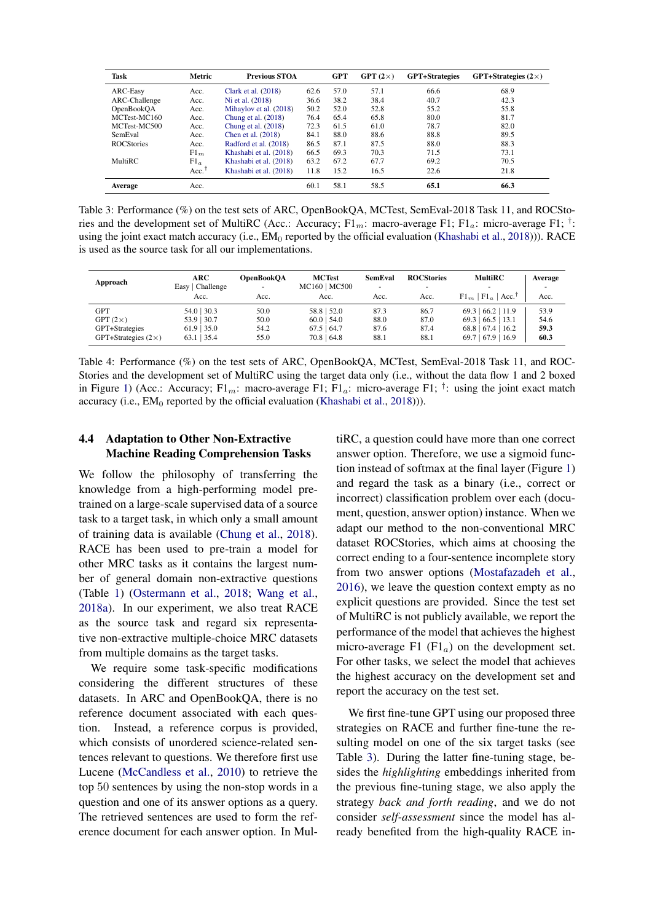<span id="page-6-1"></span>

| Task              | Metric              | <b>Previous STOA</b>   |      | <b>GPT</b> | GPT $(2\times)$ | <b>GPT+Strategies</b> | GPT+Strategies $(2\times)$ |
|-------------------|---------------------|------------------------|------|------------|-----------------|-----------------------|----------------------------|
| ARC-Easy          | Acc.                | Clark et al. $(2018)$  | 62.6 | 57.0       | 57.1            | 66.6                  | 68.9                       |
| ARC-Challenge     | Acc.                | Ni et al. (2018)       | 36.6 | 38.2       | 38.4            | 40.7                  | 42.3                       |
| OpenBookOA        | Acc.                | Mihaylov et al. (2018) | 50.2 | 52.0       | 52.8            | 55.2                  | 55.8                       |
| MCTest-MC160      | Acc.                | Chung et al. $(2018)$  | 76.4 | 65.4       | 65.8            | 80.0                  | 81.7                       |
| MCTest-MC500      | Acc.                | Chung et al. $(2018)$  | 72.3 | 61.5       | 61.0            | 78.7                  | 82.0                       |
| SemEval           | Acc.                | Chen et al. (2018)     | 84.1 | 88.0       | 88.6            | 88.8                  | 89.5                       |
| <b>ROCStories</b> | Acc.                | Radford et al. (2018)  | 86.5 | 87.1       | 87.5            | 88.0                  | 88.3                       |
|                   | $F1_m$              | Khashabi et al. (2018) | 66.5 | 69.3       | 70.3            | 71.5                  | 73.1                       |
| <b>MultiRC</b>    | $F1_a$              | Khashabi et al. (2018) | 63.2 | 67.2       | 67.7            | 69.2                  | 70.5                       |
|                   | $Acc.$ <sup>†</sup> | Khashabi et al. (2018) | 11.8 | 15.2       | 16.5            | 22.6                  | 21.8                       |
| Average           | Acc.                |                        | 60.1 | 58.1       | 58.5            | 65.1                  | 66.3                       |

Table 3: Performance (%) on the test sets of ARC, OpenBookQA, MCTest, SemEval-2018 Task 11, and ROCStories and the development set of MultiRC (Acc.: Accuracy;  $F1_m$ : macro-average F1;  $F1_a$ : micro-average F1;  $^{\dagger}$ : using the joint exact match accuracy (i.e.,  $EM_0$  reported by the official evaluation [\(Khashabi et al.,](#page-8-2) [2018\)](#page-8-2))). RACE is used as the source task for all our implementations.

<span id="page-6-2"></span>

| Approach                   | ARC<br>Easy   Challenge<br>Acc. | OpenBookOA<br>Acc. | <b>MCTest</b><br>MC160   MC500<br>Acc. | <b>SemEval</b><br>$\overline{\phantom{a}}$<br>Acc. | <b>ROCStories</b><br>Acc. | <b>MultiRC</b><br>$Fl_m$   $Fl_n$  <br>Acc. | Average<br>Acc. |
|----------------------------|---------------------------------|--------------------|----------------------------------------|----------------------------------------------------|---------------------------|---------------------------------------------|-----------------|
| GPT                        | $54.0$   30.3                   | 50.0               | $58.8$   $52.0$                        | 87.3                                               | 86.7                      | 69.3   66.2   11.9                          | 53.9            |
| GPT $(2\times)$            | 53.9 30.7                       | 50.0               | $60.0$   54.0                          | 88.0                                               | 87.0                      | $66.5$   13.1<br>69.3                       | 54.6            |
| GPT+Strategies             | $61.9$   35.0                   | 54.2               | $67.5 \pm 64.7$                        | 87.6                                               | 87.4                      | 68.8<br>$67.4$   16.2                       | 59.3            |
| GPT+Strategies $(2\times)$ | $63.1$   35.4                   | 55.0               | $70.8$   64.8                          | 88.1                                               | 88.1                      | 69.7   67.9   16.9                          | 60.3            |

Table 4: Performance (%) on the test sets of ARC, OpenBookQA, MCTest, SemEval-2018 Task 11, and ROC-Stories and the development set of MultiRC using the target data only (i.e., without the data flow 1 and 2 boxed in Figure [1\)](#page-3-2) (Acc.: Accuracy; F1<sub>m</sub>: macro-average F1; F1<sub>a</sub>: micro-average F1; <sup>†</sup>: using the joint exact match accuracy (i.e.,  $EM_0$  reported by the official evaluation [\(Khashabi et al.,](#page-8-2) [2018\)](#page-8-2))).

# <span id="page-6-0"></span>4.4 Adaptation to Other Non-Extractive Machine Reading Comprehension Tasks

We follow the philosophy of transferring the knowledge from a high-performing model pretrained on a large-scale supervised data of a source task to a target task, in which only a small amount of training data is available [\(Chung et al.,](#page-8-15) [2018\)](#page-8-15). RACE has been used to pre-train a model for other MRC tasks as it contains the largest number of general domain non-extractive questions (Table [1\)](#page-2-2) [\(Ostermann et al.,](#page-9-3) [2018;](#page-9-3) [Wang et al.,](#page-10-9) [2018a\)](#page-10-9). In our experiment, we also treat RACE as the source task and regard six representative non-extractive multiple-choice MRC datasets from multiple domains as the target tasks.

We require some task-specific modifications considering the different structures of these datasets. In ARC and OpenBookQA, there is no reference document associated with each question. Instead, a reference corpus is provided, which consists of unordered science-related sentences relevant to questions. We therefore first use Lucene [\(McCandless et al.,](#page-9-20) [2010\)](#page-9-20) to retrieve the top 50 sentences by using the non-stop words in a question and one of its answer options as a query. The retrieved sentences are used to form the reference document for each answer option. In MultiRC, a question could have more than one correct answer option. Therefore, we use a sigmoid function instead of softmax at the final layer (Figure [1\)](#page-3-2) and regard the task as a binary (i.e., correct or incorrect) classification problem over each (document, question, answer option) instance. When we adapt our method to the non-conventional MRC dataset ROCStories, which aims at choosing the correct ending to a four-sentence incomplete story from two answer options [\(Mostafazadeh et al.,](#page-9-9) [2016\)](#page-9-9), we leave the question context empty as no explicit questions are provided. Since the test set of MultiRC is not publicly available, we report the performance of the model that achieves the highest micro-average F1  $(Fl<sub>a</sub>)$  on the development set. For other tasks, we select the model that achieves the highest accuracy on the development set and report the accuracy on the test set.

We first fine-tune GPT using our proposed three strategies on RACE and further fine-tune the resulting model on one of the six target tasks (see Table [3\)](#page-6-1). During the latter fine-tuning stage, besides the *highlighting* embeddings inherited from the previous fine-tuning stage, we also apply the strategy *back and forth reading*, and we do not consider *self-assessment* since the model has already benefited from the high-quality RACE in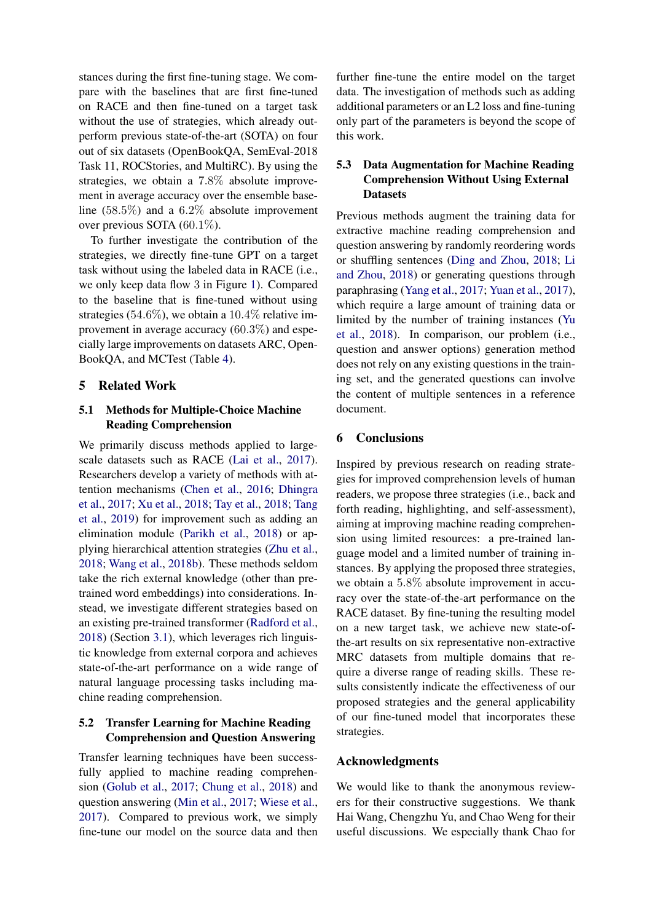stances during the first fine-tuning stage. We compare with the baselines that are first fine-tuned on RACE and then fine-tuned on a target task without the use of strategies, which already outperform previous state-of-the-art (SOTA) on four out of six datasets (OpenBookQA, SemEval-2018 Task 11, ROCStories, and MultiRC). By using the strategies, we obtain a 7.8% absolute improvement in average accuracy over the ensemble baseline (58.5%) and a 6.2% absolute improvement over previous SOTA (60.1%).

To further investigate the contribution of the strategies, we directly fine-tune GPT on a target task without using the labeled data in RACE (i.e., we only keep data flow 3 in Figure [1\)](#page-3-2). Compared to the baseline that is fine-tuned without using strategies (54.6%), we obtain a 10.4% relative improvement in average accuracy (60.3%) and especially large improvements on datasets ARC, Open-BookQA, and MCTest (Table [4\)](#page-6-2).

## 5 Related Work

# 5.1 Methods for Multiple-Choice Machine Reading Comprehension

We primarily discuss methods applied to largescale datasets such as RACE [\(Lai et al.,](#page-8-4) [2017\)](#page-8-4). Researchers develop a variety of methods with attention mechanisms [\(Chen et al.,](#page-8-17) [2016;](#page-8-17) [Dhingra](#page-8-18) [et al.,](#page-8-18) [2017;](#page-8-18) [Xu et al.,](#page-10-10) [2018;](#page-10-10) [Tay et al.,](#page-10-11) [2018;](#page-10-11) [Tang](#page-10-5) [et al.,](#page-10-5) [2019\)](#page-10-5) for improvement such as adding an elimination module [\(Parikh et al.,](#page-9-21) [2018\)](#page-9-21) or applying hierarchical attention strategies [\(Zhu et al.,](#page-10-12) [2018;](#page-10-12) [Wang et al.,](#page-10-13) [2018b\)](#page-10-13). These methods seldom take the rich external knowledge (other than pretrained word embeddings) into considerations. Instead, we investigate different strategies based on an existing pre-trained transformer [\(Radford et al.,](#page-9-0) [2018\)](#page-9-0) (Section [3.1\)](#page-2-0), which leverages rich linguistic knowledge from external corpora and achieves state-of-the-art performance on a wide range of natural language processing tasks including machine reading comprehension.

# 5.2 Transfer Learning for Machine Reading Comprehension and Question Answering

Transfer learning techniques have been successfully applied to machine reading comprehension [\(Golub et al.,](#page-8-19) [2017;](#page-8-19) [Chung et al.,](#page-8-15) [2018\)](#page-8-15) and question answering [\(Min et al.,](#page-9-22) [2017;](#page-9-22) [Wiese et al.,](#page-10-14) [2017\)](#page-10-14). Compared to previous work, we simply fine-tune our model on the source data and then

further fine-tune the entire model on the target data. The investigation of methods such as adding additional parameters or an L2 loss and fine-tuning only part of the parameters is beyond the scope of this work.

# 5.3 Data Augmentation for Machine Reading Comprehension Without Using External **Datasets**

Previous methods augment the training data for extractive machine reading comprehension and question answering by randomly reordering words or shuffling sentences [\(Ding and Zhou,](#page-8-14) [2018;](#page-8-14) [Li](#page-9-23) [and Zhou,](#page-9-23) [2018\)](#page-9-23) or generating questions through paraphrasing [\(Yang et al.,](#page-10-1) [2017;](#page-10-1) [Yuan et al.,](#page-10-15) [2017\)](#page-10-15), which require a large amount of training data or limited by the number of training instances [\(Yu](#page-10-8) [et al.,](#page-10-8) [2018\)](#page-10-8). In comparison, our problem (i.e., question and answer options) generation method does not rely on any existing questions in the training set, and the generated questions can involve the content of multiple sentences in a reference document.

# 6 Conclusions

Inspired by previous research on reading strategies for improved comprehension levels of human readers, we propose three strategies (i.e., back and forth reading, highlighting, and self-assessment), aiming at improving machine reading comprehension using limited resources: a pre-trained language model and a limited number of training instances. By applying the proposed three strategies, we obtain a 5.8% absolute improvement in accuracy over the state-of-the-art performance on the RACE dataset. By fine-tuning the resulting model on a new target task, we achieve new state-ofthe-art results on six representative non-extractive MRC datasets from multiple domains that require a diverse range of reading skills. These results consistently indicate the effectiveness of our proposed strategies and the general applicability of our fine-tuned model that incorporates these strategies.

### Acknowledgments

We would like to thank the anonymous reviewers for their constructive suggestions. We thank Hai Wang, Chengzhu Yu, and Chao Weng for their useful discussions. We especially thank Chao for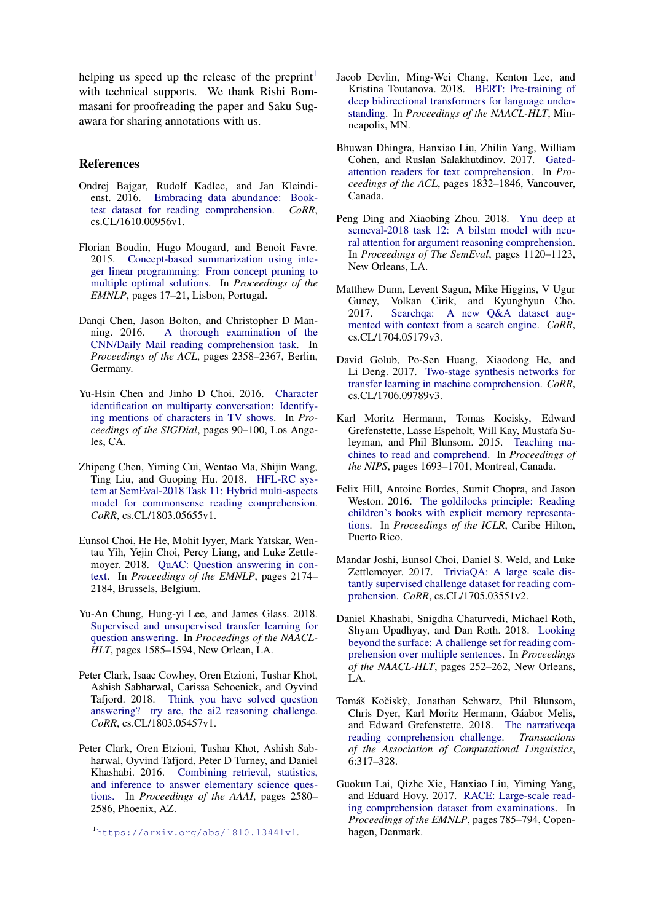helping us speed up the release of the preprint<sup>[1](#page-8-20)</sup> with technical supports. We thank Rishi Bommasani for proofreading the paper and Saku Sugawara for sharing annotations with us.

### References

- <span id="page-8-10"></span>Ondrej Bajgar, Rudolf Kadlec, and Jan Kleindienst. 2016. [Embracing data abundance: Book](https://arxiv.org/abs/1610.00956v1)[test dataset for reading comprehension.](https://arxiv.org/abs/1610.00956v1) *CoRR*, cs.CL/1610.00956v1.
- <span id="page-8-13"></span>Florian Boudin, Hugo Mougard, and Benoit Favre. 2015. [Concept-based summarization using inte](http://www.aclweb.org/anthology/D15-1220)[ger linear programming: From concept pruning to](http://www.aclweb.org/anthology/D15-1220) [multiple optimal solutions.](http://www.aclweb.org/anthology/D15-1220) In *Proceedings of the EMNLP*, pages 17–21, Lisbon, Portugal.
- <span id="page-8-17"></span>Danqi Chen, Jason Bolton, and Christopher D Man-<br>ning. 2016. A thorough examination of the [A thorough examination of the](http://www.aclweb.org/anthology/P16-1223) [CNN/Daily Mail reading comprehension task.](http://www.aclweb.org/anthology/P16-1223) In *Proceedings of the ACL*, pages 2358–2367, Berlin, Germany.
- <span id="page-8-9"></span>Yu-Hsin Chen and Jinho D Choi. 2016. [Character](http://www.aclweb.org/anthology/W16-3612) [identification on multiparty conversation: Identify](http://www.aclweb.org/anthology/W16-3612)[ing mentions of characters in TV shows.](http://www.aclweb.org/anthology/W16-3612) In *Proceedings of the SIGDial*, pages 90–100, Los Angeles, CA.
- <span id="page-8-16"></span>Zhipeng Chen, Yiming Cui, Wentao Ma, Shijin Wang, Ting Liu, and Guoping Hu. 2018. [HFL-RC sys](https://arxiv.org/abs/1803.05655v1)[tem at SemEval-2018 Task 11: Hybrid multi-aspects](https://arxiv.org/abs/1803.05655v1) [model for commonsense reading comprehension.](https://arxiv.org/abs/1803.05655v1) *CoRR*, cs.CL/1803.05655v1.
- <span id="page-8-0"></span>Eunsol Choi, He He, Mohit Iyyer, Mark Yatskar, Wentau Yih, Yejin Choi, Percy Liang, and Luke Zettlemoyer. 2018. [QuAC: Question answering in con](http://www.aclweb.org/anthology/D18-1241)[text.](http://www.aclweb.org/anthology/D18-1241) In *Proceedings of the EMNLP*, pages 2174– 2184, Brussels, Belgium.
- <span id="page-8-15"></span>Yu-An Chung, Hung-yi Lee, and James Glass. 2018. [Supervised and unsupervised transfer learning for](http://www.aclweb.org/anthology/N18-1143) [question answering.](http://www.aclweb.org/anthology/N18-1143) In *Proceedings of the NAACL-HLT*, pages 1585–1594, New Orlean, LA.
- <span id="page-8-3"></span>Peter Clark, Isaac Cowhey, Oren Etzioni, Tushar Khot, Ashish Sabharwal, Carissa Schoenick, and Oyvind Tafjord. 2018. [Think you have solved question](https://arxiv.org/abs/1803.05457v1) [answering? try arc, the ai2 reasoning challenge.](https://arxiv.org/abs/1803.05457v1) *CoRR*, cs.CL/1803.05457v1.
- <span id="page-8-6"></span>Peter Clark, Oren Etzioni, Tushar Khot, Ashish Sabharwal, Oyvind Tafjord, Peter D Turney, and Daniel Khashabi. 2016. [Combining retrieval, statistics,](http://www.aaai.org/ocs/index.php/AAAI/AAAI16/paper/download/11963/11990) [and inference to answer elementary science ques](http://www.aaai.org/ocs/index.php/AAAI/AAAI16/paper/download/11963/11990)[tions.](http://www.aaai.org/ocs/index.php/AAAI/AAAI16/paper/download/11963/11990) In *Proceedings of the AAAI*, pages 2580– 2586, Phoenix, AZ.
- <span id="page-8-5"></span>Jacob Devlin, Ming-Wei Chang, Kenton Lee, and Kristina Toutanova. 2018. [BERT: Pre-training of](https://arxiv.org/abs/1810.04805v1) [deep bidirectional transformers for language under](https://arxiv.org/abs/1810.04805v1)[standing.](https://arxiv.org/abs/1810.04805v1) In *Proceedings of the NAACL-HLT*, Minneapolis, MN.
- <span id="page-8-18"></span>Bhuwan Dhingra, Hanxiao Liu, Zhilin Yang, William Cohen, and Ruslan Salakhutdinov. 2017. [Gated](http://www.aclweb.org/anthology/P17-1168)[attention readers for text comprehension.](http://www.aclweb.org/anthology/P17-1168) In *Proceedings of the ACL*, pages 1832–1846, Vancouver, Canada.
- <span id="page-8-14"></span>Peng Ding and Xiaobing Zhou. 2018. [Ynu deep at](http://aclweb.org/anthology/S18-1189) [semeval-2018 task 12: A bilstm model with neu](http://aclweb.org/anthology/S18-1189)[ral attention for argument reasoning comprehension.](http://aclweb.org/anthology/S18-1189) In *Proceedings of The SemEval*, pages 1120–1123, New Orleans, LA.
- <span id="page-8-12"></span>Matthew Dunn, Levent Sagun, Mike Higgins, V Ugur Guney, Volkan Cirik, and Kyunghyun Cho. 2017. [Searchqa: A new Q&A dataset aug](https://arxiv.org/abs/1704.05179v3)[mented with context from a search engine.](https://arxiv.org/abs/1704.05179v3) *CoRR*, cs.CL/1704.05179v3.
- <span id="page-8-19"></span>David Golub, Po-Sen Huang, Xiaodong He, and Li Deng. 2017. [Two-stage synthesis networks for](https://arxiv.org/abs/1706.09789v3) [transfer learning in machine comprehension.](https://arxiv.org/abs/1706.09789v3) *CoRR*, cs.CL/1706.09789v3.
- <span id="page-8-7"></span>Karl Moritz Hermann, Tomas Kocisky, Edward Grefenstette, Lasse Espeholt, Will Kay, Mustafa Suleyman, and Phil Blunsom. 2015. [Teaching ma](https://papers.nips.cc/paper/5945-teaching-machines-to-read-and-comprehend.pdf)[chines to read and comprehend.](https://papers.nips.cc/paper/5945-teaching-machines-to-read-and-comprehend.pdf) In *Proceedings of the NIPS*, pages 1693–1701, Montreal, Canada.
- <span id="page-8-8"></span>Felix Hill, Antoine Bordes, Sumit Chopra, and Jason Weston. 2016. [The goldilocks principle: Reading](https://research.fb.com/wp-content/uploads/2016/11/the_goldilocks_principle_reading_children_s_books_with_explicit_memory_representations.pdf) [children's books with explicit memory representa](https://research.fb.com/wp-content/uploads/2016/11/the_goldilocks_principle_reading_children_s_books_with_explicit_memory_representations.pdf)[tions.](https://research.fb.com/wp-content/uploads/2016/11/the_goldilocks_principle_reading_children_s_books_with_explicit_memory_representations.pdf) In *Proceedings of the ICLR*, Caribe Hilton, Puerto Rico.
- <span id="page-8-11"></span>Mandar Joshi, Eunsol Choi, Daniel S. Weld, and Luke Zettlemoyer. 2017. [TriviaQA: A large scale dis](http://arxiv.org/abs/1705.03551v2)[tantly supervised challenge dataset for reading com](http://arxiv.org/abs/1705.03551v2)[prehension.](http://arxiv.org/abs/1705.03551v2) *CoRR*, cs.CL/1705.03551v2.
- <span id="page-8-2"></span>Daniel Khashabi, Snigdha Chaturvedi, Michael Roth, Shyam Upadhyay, and Dan Roth. 2018. [Looking](http://www.aclweb.org/anthology/N18-1023) [beyond the surface: A challenge set for reading com](http://www.aclweb.org/anthology/N18-1023)[prehension over multiple sentences.](http://www.aclweb.org/anthology/N18-1023) In *Proceedings of the NAACL-HLT*, pages 252–262, New Orleans, LA.
- <span id="page-8-1"></span>Tomáš Kočiskỳ, Jonathan Schwarz, Phil Blunsom, Chris Dyer, Karl Moritz Hermann, Gaabor Melis, ´ and Edward Grefenstette. 2018. [The narrativeqa](https://www.mitpressjournals.org/doi/abs/10.1162/tacl_a_00023) [reading comprehension challenge.](https://www.mitpressjournals.org/doi/abs/10.1162/tacl_a_00023) *Transactions of the Association of Computational Linguistics*, 6:317–328.
- <span id="page-8-4"></span>Guokun Lai, Qizhe Xie, Hanxiao Liu, Yiming Yang, and Eduard Hovy. 2017. [RACE: Large-scale read](http://www.aclweb.org/anthology/D17-1082)[ing comprehension dataset from examinations.](http://www.aclweb.org/anthology/D17-1082) In *Proceedings of the EMNLP*, pages 785–794, Copenhagen, Denmark.

<span id="page-8-20"></span><sup>1</sup><https://arxiv.org/abs/1810.13441v1>.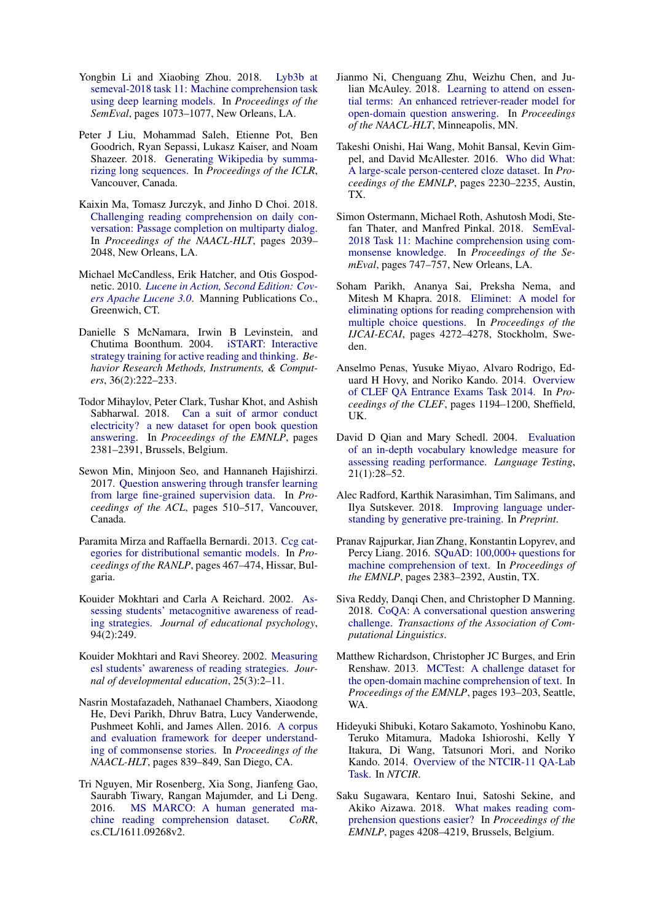- <span id="page-9-23"></span>Yongbin Li and Xiaobing Zhou. 2018. [Lyb3b at](http://aclweb.org/anthology/S18-1180) [semeval-2018 task 11: Machine comprehension task](http://aclweb.org/anthology/S18-1180) [using deep learning models.](http://aclweb.org/anthology/S18-1180) In *Proceedings of the SemEval*, pages 1073–1077, New Orleans, LA.
- <span id="page-9-15"></span>Peter J Liu, Mohammad Saleh, Etienne Pot, Ben Goodrich, Ryan Sepassi, Lukasz Kaiser, and Noam Shazeer. 2018. [Generating Wikipedia by summa](https://arxiv.org/abs/1801.10198v1)[rizing long sequences.](https://arxiv.org/abs/1801.10198v1) In *Proceedings of the ICLR*, Vancouver, Canada.
- <span id="page-9-12"></span>Kaixin Ma, Tomasz Jurczyk, and Jinho D Choi. 2018. [Challenging reading comprehension on daily con](http://www.aclweb.org/anthology/N18-1185)[versation: Passage completion on multiparty dialog.](http://www.aclweb.org/anthology/N18-1185) In *Proceedings of the NAACL-HLT*, pages 2039– 2048, New Orleans, LA.
- <span id="page-9-20"></span>Michael McCandless, Erik Hatcher, and Otis Gospodnetic. 2010. *[Lucene in Action, Second Edition: Cov](https://dl.acm.org/citation.cfm?id=1893016)[ers Apache Lucene 3.0](https://dl.acm.org/citation.cfm?id=1893016)*. Manning Publications Co., Greenwich, CT.
- <span id="page-9-6"></span>Danielle S McNamara, Irwin B Levinstein, and Chutima Boonthum. 2004. [iSTART: Interactive](https://link.springer.com/article/10.3758/BF03195567) [strategy training for active reading and thinking.](https://link.springer.com/article/10.3758/BF03195567) *Behavior Research Methods, Instruments, & Computers*, 36(2):222–233.
- <span id="page-9-7"></span>Todor Mihaylov, Peter Clark, Tushar Khot, and Ashish Sabharwal. 2018. [Can a suit of armor conduct](http://www.aclweb.org/anthology/D18-1260) [electricity? a new dataset for open book question](http://www.aclweb.org/anthology/D18-1260) [answering.](http://www.aclweb.org/anthology/D18-1260) In *Proceedings of the EMNLP*, pages 2381–2391, Brussels, Belgium.
- <span id="page-9-22"></span>Sewon Min, Minjoon Seo, and Hannaneh Hajishirzi. 2017. [Question answering through transfer learning](http://www.aclweb.org/anthology/P17-2081) [from large fine-grained supervision data.](http://www.aclweb.org/anthology/P17-2081) In *Proceedings of the ACL*, pages 510–517, Vancouver, Canada.
- <span id="page-9-16"></span>Paramita Mirza and Raffaella Bernardi. 2013. [Ccg cat](http://www.aclweb.org/anthology/R13-1061)[egories for distributional semantic models.](http://www.aclweb.org/anthology/R13-1061) In *Proceedings of the RANLP*, pages 467–474, Hissar, Bulgaria.
- <span id="page-9-5"></span>Kouider Mokhtari and Carla A Reichard. 2002. [As](http://citeseerx.ist.psu.edu/viewdoc/download?doi=10.1.1.456.5716&rep=rep1&type=pdf)[sessing students' metacognitive awareness of read](http://citeseerx.ist.psu.edu/viewdoc/download?doi=10.1.1.456.5716&rep=rep1&type=pdf)[ing strategies.](http://citeseerx.ist.psu.edu/viewdoc/download?doi=10.1.1.456.5716&rep=rep1&type=pdf) *Journal of educational psychology*, 94(2):249.
- <span id="page-9-4"></span>Kouider Mokhtari and Ravi Sheorey. 2002. [Measuring](https://www.questia.com/library/journal/1P3-110658803/measuring-esl-students-awareness-of-reading-strategies) [esl students' awareness of reading strategies.](https://www.questia.com/library/journal/1P3-110658803/measuring-esl-students-awareness-of-reading-strategies) *Journal of developmental education*, 25(3):2–11.
- <span id="page-9-9"></span>Nasrin Mostafazadeh, Nathanael Chambers, Xiaodong He, Devi Parikh, Dhruv Batra, Lucy Vanderwende, Pushmeet Kohli, and James Allen. 2016. [A corpus](http://www.aclweb.org/anthology/N16-1098) [and evaluation framework for deeper understand](http://www.aclweb.org/anthology/N16-1098)[ing of commonsense stories.](http://www.aclweb.org/anthology/N16-1098) In *Proceedings of the NAACL-HLT*, pages 839–849, San Diego, CA.
- <span id="page-9-11"></span>Tri Nguyen, Mir Rosenberg, Xia Song, Jianfeng Gao, Saurabh Tiwary, Rangan Majumder, and Li Deng. 2016. [MS MARCO: A human generated ma](https://arxiv.org/abs/1611.09268v2)[chine reading comprehension dataset.](https://arxiv.org/abs/1611.09268v2) *CoRR*, cs.CL/1611.09268v2.
- <span id="page-9-19"></span>Jianmo Ni, Chenguang Zhu, Weizhu Chen, and Julian McAuley. 2018. [Learning to attend on essen](https://arxiv.org/abs/1808.09492v4)[tial terms: An enhanced retriever-reader model for](https://arxiv.org/abs/1808.09492v4) [open-domain question answering.](https://arxiv.org/abs/1808.09492v4) In *Proceedings of the NAACL-HLT*, Minneapolis, MN.
- <span id="page-9-10"></span>Takeshi Onishi, Hai Wang, Mohit Bansal, Kevin Gimpel, and David McAllester. 2016. [Who did What:](http://www.aclweb.org/anthology/D16-1241) [A large-scale person-centered cloze dataset.](http://www.aclweb.org/anthology/D16-1241) In *Proceedings of the EMNLP*, pages 2230–2235, Austin, TX.
- <span id="page-9-3"></span>Simon Ostermann, Michael Roth, Ashutosh Modi, Stefan Thater, and Manfred Pinkal. 2018. [SemEval-](http://www.aclweb.org/anthology/S18-1119)[2018 Task 11: Machine comprehension using com](http://www.aclweb.org/anthology/S18-1119)[monsense knowledge.](http://www.aclweb.org/anthology/S18-1119) In *Proceedings of the SemEval*, pages 747–757, New Orleans, LA.
- <span id="page-9-21"></span>Soham Parikh, Ananya Sai, Preksha Nema, and Mitesh M Khapra. 2018. [Eliminet: A model for](https://www.ijcai.org/proceedings/2018/0594.pdf) [eliminating options for reading comprehension with](https://www.ijcai.org/proceedings/2018/0594.pdf) [multiple choice questions.](https://www.ijcai.org/proceedings/2018/0594.pdf) In *Proceedings of the IJCAI-ECAI*, pages 4272–4278, Stockholm, Sweden.
- <span id="page-9-13"></span>Anselmo Penas, Yusuke Miyao, Alvaro Rodrigo, Eduard H Hovy, and Noriko Kando. 2014. [Overview](http://ceur-ws.org/Vol-1180/CLEF2014wn-QA-PenasEt2014.pdf) [of CLEF QA Entrance Exams Task 2014.](http://ceur-ws.org/Vol-1180/CLEF2014wn-QA-PenasEt2014.pdf) In *Proceedings of the CLEF*, pages 1194–1200, Sheffield, UK.
- <span id="page-9-17"></span>David D Qian and Mary Schedl. 2004. [Evaluation](https://www.researchgate.net/profile/Mary_Schedl/publication/249870139_Evaluation_of_an_In-Depth_Vocabulary_Knowledge_Measure_for_Assessing_Reading_Performance/links/02e7e5388bfab4435b000000.pdf) [of an in-depth vocabulary knowledge measure for](https://www.researchgate.net/profile/Mary_Schedl/publication/249870139_Evaluation_of_an_In-Depth_Vocabulary_Knowledge_Measure_for_Assessing_Reading_Performance/links/02e7e5388bfab4435b000000.pdf) [assessing reading performance.](https://www.researchgate.net/profile/Mary_Schedl/publication/249870139_Evaluation_of_an_In-Depth_Vocabulary_Knowledge_Measure_for_Assessing_Reading_Performance/links/02e7e5388bfab4435b000000.pdf) *Language Testing*, 21(1):28–52.
- <span id="page-9-0"></span>Alec Radford, Karthik Narasimhan, Tim Salimans, and Ilya Sutskever. 2018. [Improving language under](https://s3-us-west-2.amazonaws.com/openai-assets/research-covers/language-unsupervised/language_understanding_paper.pdf)[standing by generative pre-training.](https://s3-us-west-2.amazonaws.com/openai-assets/research-covers/language-unsupervised/language_understanding_paper.pdf) In *Preprint*.
- <span id="page-9-1"></span>Pranav Rajpurkar, Jian Zhang, Konstantin Lopyrev, and Percy Liang. 2016. [SQuAD: 100,000+ questions for](http://www.aclweb.org/anthology/D16-1264) [machine comprehension of text.](http://www.aclweb.org/anthology/D16-1264) In *Proceedings of the EMNLP*, pages 2383–2392, Austin, TX.
- <span id="page-9-2"></span>Siva Reddy, Danqi Chen, and Christopher D Manning. 2018. [CoQA: A conversational question answering](https://arxiv.org/abs/1808.07042v1) [challenge.](https://arxiv.org/abs/1808.07042v1) *Transactions of the Association of Computational Linguistics*.
- <span id="page-9-8"></span>Matthew Richardson, Christopher JC Burges, and Erin Renshaw. 2013. [MCTest: A challenge dataset for](http://www.aclweb.org/anthology/D13-1020) [the open-domain machine comprehension of text.](http://www.aclweb.org/anthology/D13-1020) In *Proceedings of the EMNLP*, pages 193–203, Seattle, WA.
- <span id="page-9-14"></span>Hideyuki Shibuki, Kotaro Sakamoto, Yoshinobu Kano, Teruko Mitamura, Madoka Ishioroshi, Kelly Y Itakura, Di Wang, Tatsunori Mori, and Noriko Kando. 2014. [Overview of the NTCIR-11 QA-Lab](http://research.nii.ac.jp/ntcir/workshop/OnlineProceedings11/pdf/NTCIR/OVERVIEW/01-NTCIR11-OV-QALAB-ShibukiH.pdf) [Task.](http://research.nii.ac.jp/ntcir/workshop/OnlineProceedings11/pdf/NTCIR/OVERVIEW/01-NTCIR11-OV-QALAB-ShibukiH.pdf) In *NTCIR*.
- <span id="page-9-18"></span>Saku Sugawara, Kentaro Inui, Satoshi Sekine, and Akiko Aizawa. 2018. [What makes reading com](http://aclweb.org/anthology/D18-1453)[prehension questions easier?](http://aclweb.org/anthology/D18-1453) In *Proceedings of the EMNLP*, pages 4208–4219, Brussels, Belgium.